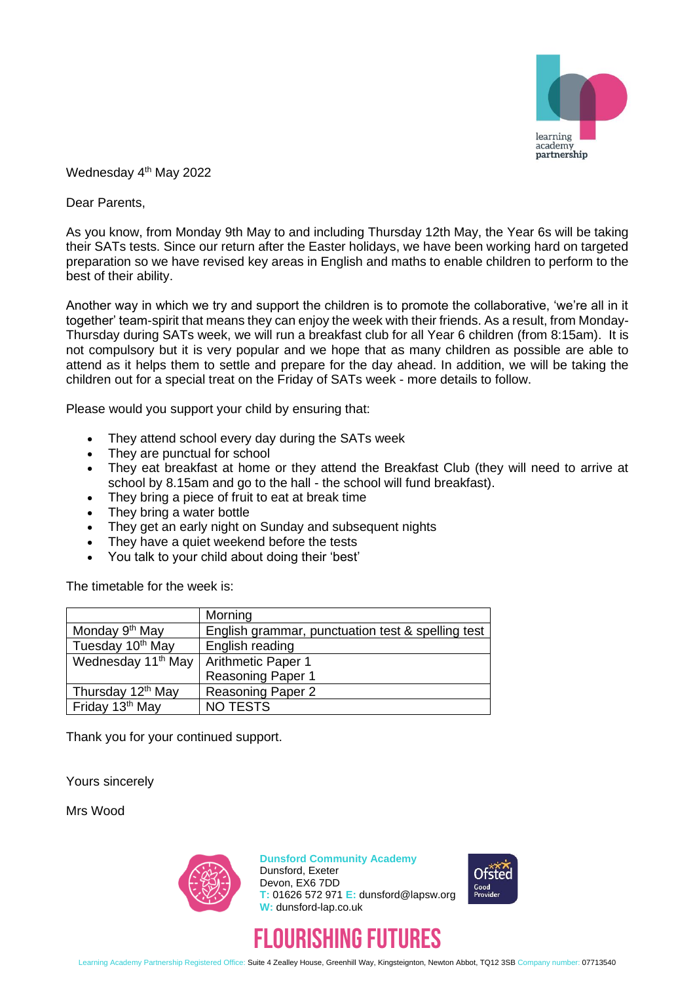

Wednesday 4<sup>th</sup> May 2022

Dear Parents,

As you know, from Monday 9th May to and including Thursday 12th May, the Year 6s will be taking their SATs tests. Since our return after the Easter holidays, we have been working hard on targeted preparation so we have revised key areas in English and maths to enable children to perform to the best of their ability.

Another way in which we try and support the children is to promote the collaborative, 'we're all in it together' team-spirit that means they can enjoy the week with their friends. As a result, from Monday-Thursday during SATs week, we will run a breakfast club for all Year 6 children (from 8:15am). It is not compulsory but it is very popular and we hope that as many children as possible are able to attend as it helps them to settle and prepare for the day ahead. In addition, we will be taking the children out for a special treat on the Friday of SATs week - more details to follow.

Please would you support your child by ensuring that:

- They attend school every day during the SATs week
- They are punctual for school
- They eat breakfast at home or they attend the Breakfast Club (they will need to arrive at school by 8.15am and go to the hall - the school will fund breakfast).
- They bring a piece of fruit to eat at break time
- They bring a water bottle
- They get an early night on Sunday and subsequent nights
- They have a quiet weekend before the tests
- You talk to your child about doing their 'best'

The timetable for the week is:

|                                | Morning                                           |
|--------------------------------|---------------------------------------------------|
| Monday 9 <sup>th</sup> May     | English grammar, punctuation test & spelling test |
| Tuesday 10 <sup>th</sup> May   | English reading                                   |
| Wednesday 11 <sup>th</sup> May | <b>Arithmetic Paper 1</b>                         |
|                                | <b>Reasoning Paper 1</b>                          |
| Thursday 12 <sup>th</sup> May  | <b>Reasoning Paper 2</b>                          |
| Friday 13 <sup>th</sup> May    | <b>NO TESTS</b>                                   |

Thank you for your continued support.

Yours sincerely

Mrs Wood



**Dunsford Community Academy** Dunsford, Exeter Devon, EX6 7DD **T:** 01626 572 971 **E:** dunsford@lapsw.org **W:** dunsford-lap.co.uk





Learning Academy Partnership Registered Office: Suite 4 Zealley House, Greenhill Way, Kingsteignton, Newton Abbot, TQ12 3SB Company number: 07713540